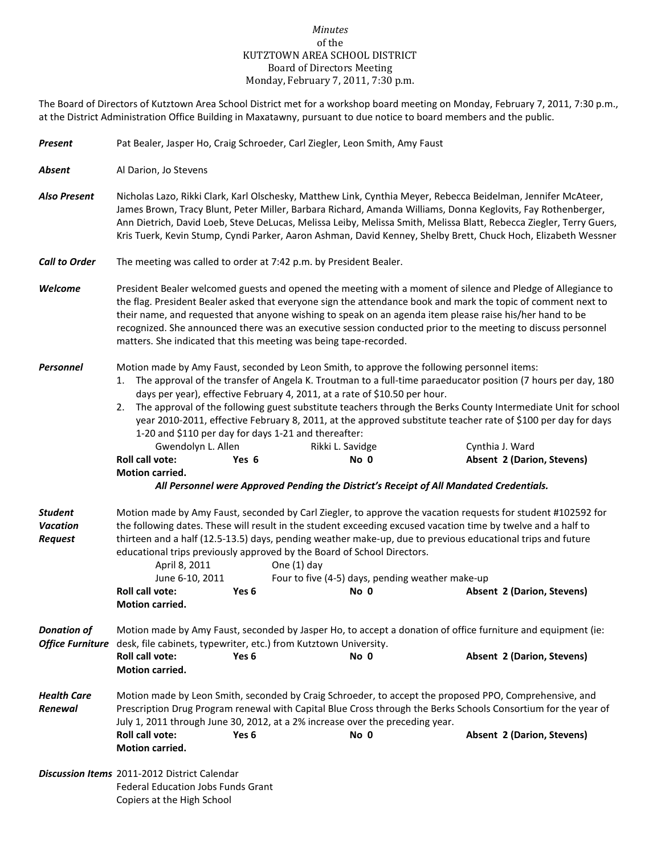## *Minutes* of the KUTZTOWN AREA SCHOOL DISTRICT Board of Directors Meeting Monday, February 7, 2011, 7:30 p.m.

The Board of Directors of Kutztown Area School District met for a workshop board meeting on Monday, February 7, 2011, 7:30 p.m., at the District Administration Office Building in Maxatawny, pursuant to due notice to board members and the public.

| <b>Present</b>                                      | Pat Bealer, Jasper Ho, Craig Schroeder, Carl Ziegler, Leon Smith, Amy Faust                                                                                                                                                                                                                                                                                                                                                                                                                                                                                                                                                      |       |                  |      |  |                                                                                                                                                                                                                                                                                                                                                                                                                                                                                                    |  |
|-----------------------------------------------------|----------------------------------------------------------------------------------------------------------------------------------------------------------------------------------------------------------------------------------------------------------------------------------------------------------------------------------------------------------------------------------------------------------------------------------------------------------------------------------------------------------------------------------------------------------------------------------------------------------------------------------|-------|------------------|------|--|----------------------------------------------------------------------------------------------------------------------------------------------------------------------------------------------------------------------------------------------------------------------------------------------------------------------------------------------------------------------------------------------------------------------------------------------------------------------------------------------------|--|
| <b>Absent</b>                                       | Al Darion, Jo Stevens                                                                                                                                                                                                                                                                                                                                                                                                                                                                                                                                                                                                            |       |                  |      |  |                                                                                                                                                                                                                                                                                                                                                                                                                                                                                                    |  |
| <b>Also Present</b>                                 | Nicholas Lazo, Rikki Clark, Karl Olschesky, Matthew Link, Cynthia Meyer, Rebecca Beidelman, Jennifer McAteer,<br>James Brown, Tracy Blunt, Peter Miller, Barbara Richard, Amanda Williams, Donna Keglovits, Fay Rothenberger,<br>Ann Dietrich, David Loeb, Steve DeLucas, Melissa Leiby, Melissa Smith, Melissa Blatt, Rebecca Ziegler, Terry Guers,<br>Kris Tuerk, Kevin Stump, Cyndi Parker, Aaron Ashman, David Kenney, Shelby Brett, Chuck Hoch, Elizabeth Wessner                                                                                                                                                           |       |                  |      |  |                                                                                                                                                                                                                                                                                                                                                                                                                                                                                                    |  |
| <b>Call to Order</b>                                | The meeting was called to order at 7:42 p.m. by President Bealer.                                                                                                                                                                                                                                                                                                                                                                                                                                                                                                                                                                |       |                  |      |  |                                                                                                                                                                                                                                                                                                                                                                                                                                                                                                    |  |
| Welcome                                             | President Bealer welcomed guests and opened the meeting with a moment of silence and Pledge of Allegiance to<br>the flag. President Bealer asked that everyone sign the attendance book and mark the topic of comment next to<br>their name, and requested that anyone wishing to speak on an agenda item please raise his/her hand to be<br>recognized. She announced there was an executive session conducted prior to the meeting to discuss personnel<br>matters. She indicated that this meeting was being tape-recorded.                                                                                                   |       |                  |      |  |                                                                                                                                                                                                                                                                                                                                                                                                                                                                                                    |  |
| Personnel                                           | Motion made by Amy Faust, seconded by Leon Smith, to approve the following personnel items:<br>1.<br>days per year), effective February 4, 2011, at a rate of \$10.50 per hour.<br>2.<br>1-20 and \$110 per day for days 1-21 and thereafter:<br>Gwendolyn L. Allen<br><b>Roll call vote:</b><br>Motion carried.                                                                                                                                                                                                                                                                                                                 | Yes 6 | Rikki L. Savidge | No 0 |  | The approval of the transfer of Angela K. Troutman to a full-time paraeducator position (7 hours per day, 180<br>The approval of the following guest substitute teachers through the Berks County Intermediate Unit for school<br>year 2010-2011, effective February 8, 2011, at the approved substitute teacher rate of \$100 per day for days<br>Cynthia J. Ward<br><b>Absent 2 (Darion, Stevens)</b><br>All Personnel were Approved Pending the District's Receipt of All Mandated Credentials. |  |
|                                                     |                                                                                                                                                                                                                                                                                                                                                                                                                                                                                                                                                                                                                                  |       |                  |      |  |                                                                                                                                                                                                                                                                                                                                                                                                                                                                                                    |  |
| <b>Student</b><br><b>Vacation</b><br><b>Request</b> | Motion made by Amy Faust, seconded by Carl Ziegler, to approve the vacation requests for student #102592 for<br>the following dates. These will result in the student exceeding excused vacation time by twelve and a half to<br>thirteen and a half (12.5-13.5) days, pending weather make-up, due to previous educational trips and future<br>educational trips previously approved by the Board of School Directors.<br>April 8, 2011<br>One $(1)$ day<br>June 6-10, 2011<br>Four to five (4-5) days, pending weather make-up<br>Roll call vote:<br>Yes <sub>6</sub><br>No 0<br>Absent 2 (Darion, Stevens)<br>Motion carried. |       |                  |      |  |                                                                                                                                                                                                                                                                                                                                                                                                                                                                                                    |  |
| <b>Donation of</b>                                  | Motion made by Amy Faust, seconded by Jasper Ho, to accept a donation of office furniture and equipment (ie:                                                                                                                                                                                                                                                                                                                                                                                                                                                                                                                     |       |                  |      |  |                                                                                                                                                                                                                                                                                                                                                                                                                                                                                                    |  |
|                                                     | Office Furniture desk, file cabinets, typewriter, etc.) from Kutztown University.                                                                                                                                                                                                                                                                                                                                                                                                                                                                                                                                                |       |                  |      |  |                                                                                                                                                                                                                                                                                                                                                                                                                                                                                                    |  |
|                                                     | Roll call vote:<br>Motion carried.                                                                                                                                                                                                                                                                                                                                                                                                                                                                                                                                                                                               | Yes 6 |                  | No 0 |  | <b>Absent 2 (Darion, Stevens)</b>                                                                                                                                                                                                                                                                                                                                                                                                                                                                  |  |
| <b>Health Care</b><br>Renewal                       | Motion made by Leon Smith, seconded by Craig Schroeder, to accept the proposed PPO, Comprehensive, and<br>Prescription Drug Program renewal with Capital Blue Cross through the Berks Schools Consortium for the year of<br>July 1, 2011 through June 30, 2012, at a 2% increase over the preceding year.<br>Roll call vote:<br>No 0<br>Absent 2 (Darion, Stevens)<br>Yes 6<br><b>Motion carried.</b>                                                                                                                                                                                                                            |       |                  |      |  |                                                                                                                                                                                                                                                                                                                                                                                                                                                                                                    |  |
|                                                     | <b>Discussion Items</b> 2011-2012 District Calendar<br>Federal Education Jobs Funds Grant<br>Copiers at the High School                                                                                                                                                                                                                                                                                                                                                                                                                                                                                                          |       |                  |      |  |                                                                                                                                                                                                                                                                                                                                                                                                                                                                                                    |  |